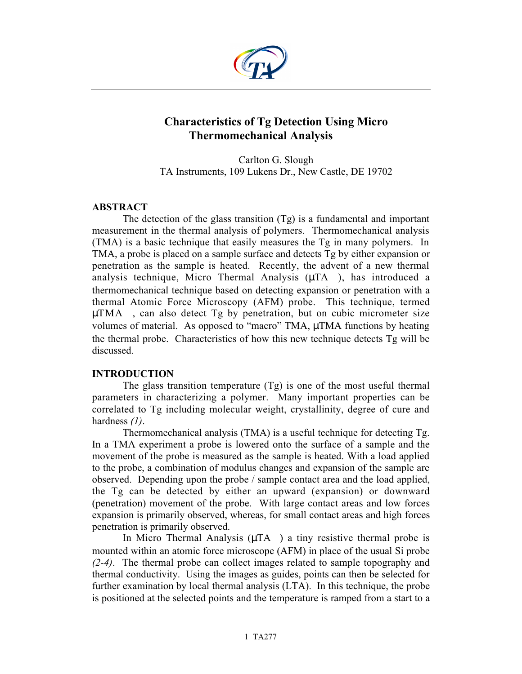

# **Characteristics of Tg Detection Using Micro Thermomechanical Analysis**

Carlton G. Slough TA Instruments, 109 Lukens Dr., New Castle, DE 19702

### **ABSTRACT**

The detection of the glass transition (Tg) is a fundamental and important measurement in the thermal analysis of polymers. Thermomechanical analysis (TMA) is a basic technique that easily measures the Tg in many polymers. In TMA, a probe is placed on a sample surface and detects Tg by either expansion or penetration as the sample is heated. Recently, the advent of a new thermal analysis technique, Micro Thermal Analysis  $(\mu TA^{TM})$ , has introduced a thermomechanical technique based on detecting expansion or penetration with a thermal Atomic Force Microscopy (AFM) probe. This technique, termed  $\mu$ TMA<sup>TM</sup>, can also detect Tg by penetration, but on cubic micrometer size volumes of material. As opposed to "macro" TMA, µTMA functions by heating the thermal probe. Characteristics of how this new technique detects Tg will be discussed.

# **INTRODUCTION**

The glass transition temperature  $(Tg)$  is one of the most useful thermal parameters in characterizing a polymer. Many important properties can be correlated to Tg including molecular weight, crystallinity, degree of cure and hardness *(1)*.

Thermomechanical analysis (TMA) is a useful technique for detecting Tg. In a TMA experiment a probe is lowered onto the surface of a sample and the movement of the probe is measured as the sample is heated. With a load applied to the probe, a combination of modulus changes and expansion of the sample are observed. Depending upon the probe / sample contact area and the load applied, the Tg can be detected by either an upward (expansion) or downward (penetration) movement of the probe. With large contact areas and low forces expansion is primarily observed, whereas, for small contact areas and high forces penetration is primarily observed.

In Micro Thermal Analysis ( $\mu$ TA<sup>TM</sup>) a tiny resistive thermal probe is mounted within an atomic force microscope (AFM) in place of the usual Si probe *(2-4)*. The thermal probe can collect images related to sample topography and thermal conductivity. Using the images as guides, points can then be selected for further examination by local thermal analysis (LTA). In this technique, the probe is positioned at the selected points and the temperature is ramped from a start to a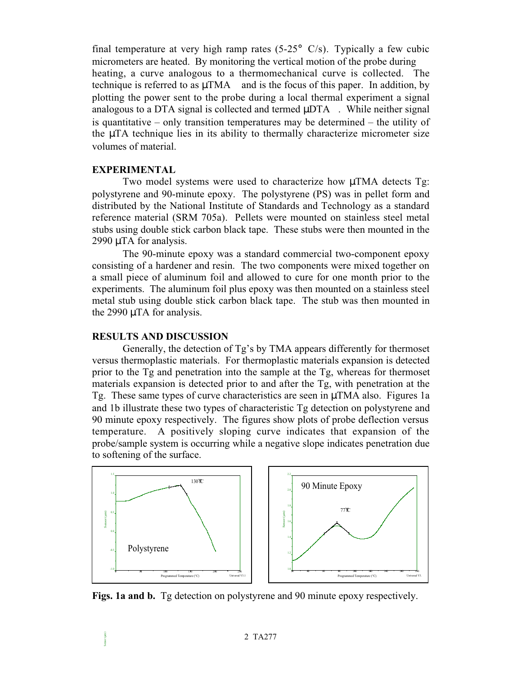final temperature at very high ramp rates  $(5{\text -}25^{\circ} \text{ C/s})$ . Typically a few cubic micrometers are heated. By monitoring the vertical motion of the probe during heating, a curve analogous to a thermomechanical curve is collected. The technique is referred to as  $\mu$ TMA<sup>TM</sup> and is the focus of this paper. In addition, by plotting the power sent to the probe during a local thermal experiment a signal analogous to a DTA signal is collected and termed  $\mu$ DTA<sup>TM</sup>. While neither signal is quantitative – only transition temperatures may be determined – the utility of the µTA technique lies in its ability to thermally characterize micrometer size volumes of material.

#### **EXPERIMENTAL**

Two model systems were used to characterize how µTMA detects Tg: polystyrene and 90-minute epoxy. The polystyrene (PS) was in pellet form and distributed by the National Institute of Standards and Technology as a standard reference material (SRM 705a). Pellets were mounted on stainless steel metal stubs using double stick carbon black tape. These stubs were then mounted in the 2990 µTA for analysis.

The 90-minute epoxy was a standard commercial two-component epoxy consisting of a hardener and resin. The two components were mixed together on a small piece of aluminum foil and allowed to cure for one month prior to the experiments. The aluminum foil plus epoxy was then mounted on a stainless steel metal stub using double stick carbon black tape. The stub was then mounted in the 2990 µTA for analysis.

## **RESULTS AND DISCUSSION**

 $m$ sar  $(\mu m)$ Sensor (µm)

Generally, the detection of Tg's by TMA appears differently for thermoset versus thermoplastic materials. For thermoplastic materials expansion is detected prior to the Tg and penetration into the sample at the Tg, whereas for thermoset materials expansion is detected prior to and after the Tg, with penetration at the Tg. These same types of curve characteristics are seen in µTMA also. Figures 1a and 1b illustrate these two types of characteristic Tg detection on polystyrene and 90 minute epoxy respectively. The figures show plots of probe deflection versus temperature. A positively sloping curve indicates that expansion of the probe/sample system is occurring while a negative slope indicates penetration due to softening of the surface.



**Figs. 1a and b.** Tg detection on polystyrene and 90 minute epoxy respectively.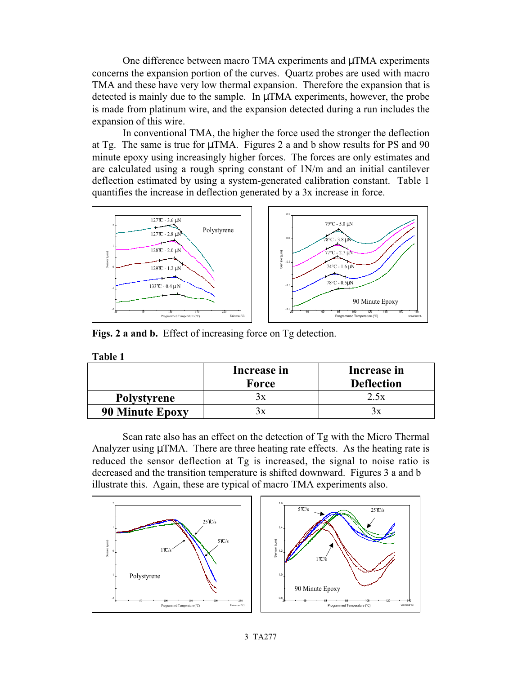One difference between macro TMA experiments and  $\mu$ TMA experiments concerns the expansion portion of the curves. Quartz probes are used with macro TMA and these have very low thermal expansion. Therefore the expansion that is detected is mainly due to the sample. In µTMA experiments, however, the probe is made from platinum wire, and the expansion detected during a run includes the expansion of this wire.

In conventional TMA, the higher the force used the stronger the deflection at Tg. The same is true for µTMA. Figures 2 a and b show results for PS and 90 minute epoxy using increasingly higher forces. The forces are only estimates and are calculated using a rough spring constant of 1N/m and an initial cantilever deflection estimated by using a system-generated calibration constant. Table 1 quantifies the increase in deflection generated by a 3x increase in force.



Figs. 2 a and b. Effect of increasing force on Tg detection.

| и<br>Ш<br>н<br>ш |  |
|------------------|--|
|                  |  |

|                        | Increase in | Increase in       |  |
|------------------------|-------------|-------------------|--|
|                        | Force       | <b>Deflection</b> |  |
| <b>Polystyrene</b>     |             | 2.5x              |  |
| <b>90 Minute Epoxy</b> |             | 3x                |  |

Scan rate also has an effect on the detection of Tg with the Micro Thermal Analyzer using  $\mu$ TMA. There are three heating rate effects. As the heating rate is reduced the sensor deflection at Tg is increased, the signal to noise ratio is decreased and the transition temperature is shifted downward. Figures 3 a and b illustrate this. Again, these are typical of macro TMA experiments also.

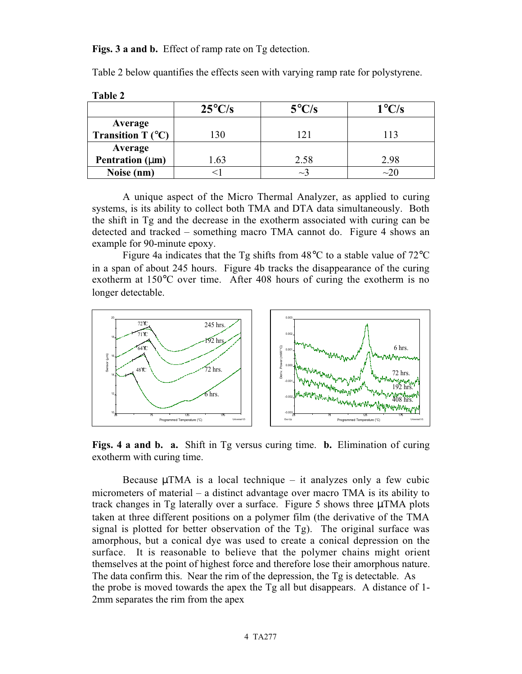Figs. 3 a and b. Effect of ramp rate on Tg detection.

**Table 2**

| 1 avit <i>2</i>                     |                  |                 |                |  |
|-------------------------------------|------------------|-----------------|----------------|--|
|                                     | $25^{\circ}$ C/s | $5^{\circ}$ C/s | $1^{\circ}C/s$ |  |
| Average                             |                  |                 |                |  |
| <b>Transition T</b> ( $^{\circ}$ C) | 130              | 121             | 113            |  |
| Average                             |                  |                 |                |  |
| Pentration $(\mu m)$                | 1.63             | 2.58            | 2.98           |  |
| Noise (nm)                          |                  | $\sim$          | $\sim$ 20      |  |

Table 2 below quantifies the effects seen with varying ramp rate for polystyrene.

A unique aspect of the Micro Thermal Analyzer, as applied to curing systems, is its ability to collect both TMA and DTA data simultaneously. Both the shift in Tg and the decrease in the exotherm associated with curing can be detected and tracked – something macro TMA cannot do. Figure 4 shows an example for 90-minute epoxy.

Figure 4a indicates that the Tg shifts from 48°C to a stable value of 72°C in a span of about 245 hours. Figure 4b tracks the disappearance of the curing exotherm at 150°C over time. After 408 hours of curing the exotherm is no longer detectable.



**Figs. 4 a and b. a.** Shift in Tg versus curing time. **b.** Elimination of curing exotherm with curing time.

Because  $\mu$ TMA is a local technique – it analyzes only a few cubic micrometers of material – a distinct advantage over macro TMA is its ability to track changes in Tg laterally over a surface. Figure 5 shows three µTMA plots taken at three different positions on a polymer film (the derivative of the TMA signal is plotted for better observation of the Tg). The original surface was amorphous, but a conical dye was used to create a conical depression on the surface. It is reasonable to believe that the polymer chains might orient themselves at the point of highest force and therefore lose their amorphous nature. The data confirm this. Near the rim of the depression, the Tg is detectable. As the probe is moved towards the apex the Tg all but disappears. A distance of 1- 2mm separates the rim from the apex